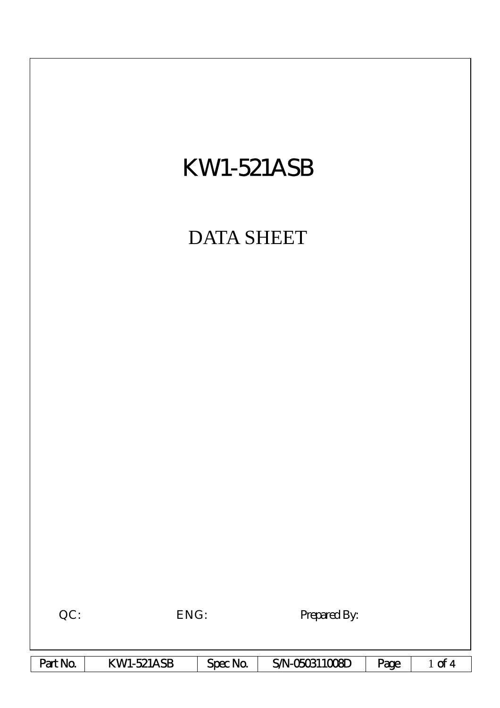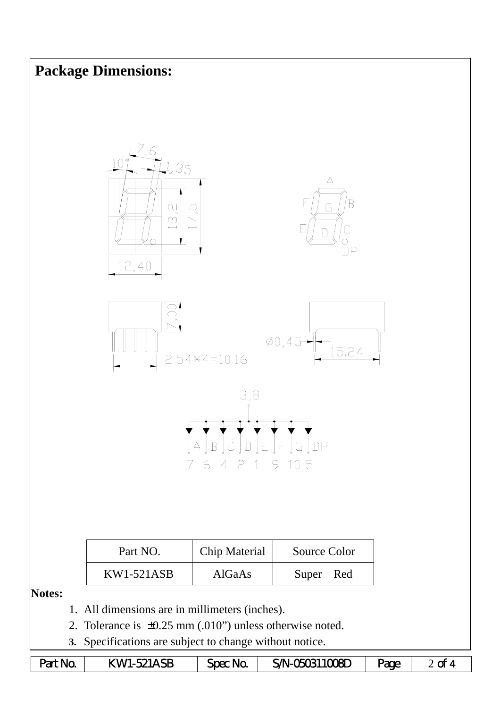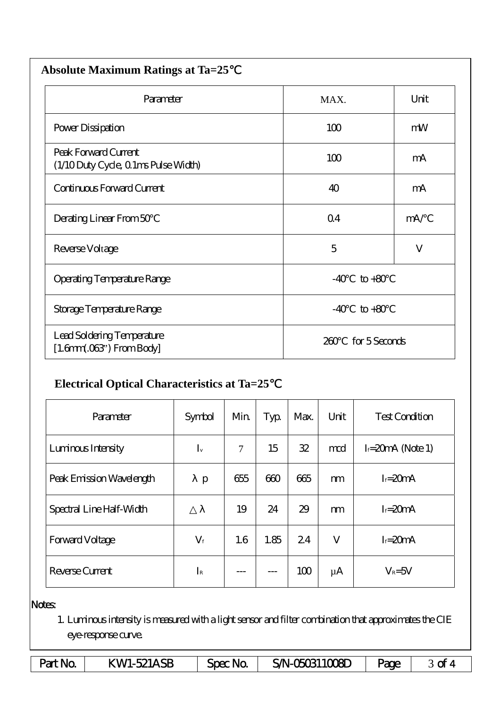| <b>Absolute Maximum Ratings at Ta=25</b>                            |            |               |  |  |  |  |  |
|---------------------------------------------------------------------|------------|---------------|--|--|--|--|--|
| Parameter                                                           | MAX.       | Unit          |  |  |  |  |  |
| Power Dissipation                                                   | 100        | mW            |  |  |  |  |  |
| Peak Forward Current<br>(1/10 Duty Cycle, 0 1ms Pulse Width)        | 100        | mA            |  |  |  |  |  |
| Continuous Forward Current                                          | 40         | mA            |  |  |  |  |  |
| Derating Linear From 50                                             | $\Omega$ 4 | mA/           |  |  |  |  |  |
| Reverse Voltage                                                     | 5          | $\mathbf{V}$  |  |  |  |  |  |
| <b>Operating Temperature Range</b>                                  | $-40$      | $to +80$      |  |  |  |  |  |
| Storage Temperature Range                                           | $-40$      | $to +80$      |  |  |  |  |  |
| Lead Soldering Temperature<br>$[1.6mm.03$ <sup>"</sup> ) From Body] | 260        | for 5 Seconds |  |  |  |  |  |

## **Electrical Optical Characteristics at Ta=25**℃

| Parameter                | Symbol      | Min    | Typ  | Max. | Unit    | <b>Test Condition</b> |  |
|--------------------------|-------------|--------|------|------|---------|-----------------------|--|
| Luninous Intensity       | $I_{v}$     | $\tau$ | 15   | 32   | mod     | $I = 20mA$ (Note 1)   |  |
| Peak Emission Wavelength | p           | 655    | 600  | 665  | m       | $I = 20mA$            |  |
| Spectral Line Half-Width |             | 19     | 24   | 29   | m       | $I = 20mA$            |  |
| Forward Voltage          | $V_{\rm f}$ | 1.6    | 1.85 | 24   | V       | $I = 20mA$            |  |
| Reverse Current          | $I_{R}$     |        |      | 100  | $\mu A$ | $V_R = 5V$            |  |

## Notes:

1. Luminous intensity is measured with a light sensor and filter combination that approximates the CIE eye-response curve.

| Part No. | <b>KW1-521ASB</b> | Spec No. | SAN-050311008D | Page |  |
|----------|-------------------|----------|----------------|------|--|
|----------|-------------------|----------|----------------|------|--|